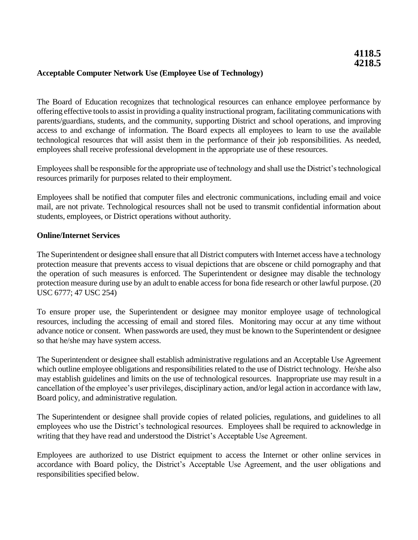### **Acceptable Computer Network Use (Employee Use of Technology)**

The Board of Education recognizes that technological resources can enhance employee performance by offering effective tools to assist in providing a quality instructional program, facilitating communications with parents/guardians, students, and the community, supporting District and school operations, and improving access to and exchange of information. The Board expects all employees to learn to use the available technological resources that will assist them in the performance of their job responsibilities. As needed, employees shall receive professional development in the appropriate use of these resources.

Employees shall be responsible for the appropriate use of technology and shall use the District's technological resources primarily for purposes related to their employment.

Employees shall be notified that computer files and electronic communications, including email and voice mail, are not private. Technological resources shall not be used to transmit confidential information about students, employees, or District operations without authority.

#### **Online/Internet Services**

The Superintendent or designee shall ensure that all District computers with Internet access have a technology protection measure that prevents access to visual depictions that are obscene or child pornography and that the operation of such measures is enforced. The Superintendent or designee may disable the technology protection measure during use by an adult to enable access for bona fide research or other lawful purpose. (20 USC 6777; 47 USC 254)

To ensure proper use, the Superintendent or designee may monitor employee usage of technological resources, including the accessing of email and stored files. Monitoring may occur at any time without advance notice or consent. When passwords are used, they must be known to the Superintendent or designee so that he/she may have system access.

The Superintendent or designee shall establish administrative regulations and an Acceptable Use Agreement which outline employee obligations and responsibilities related to the use of District technology. He/she also may establish guidelines and limits on the use of technological resources. Inappropriate use may result in a cancellation of the employee's user privileges, disciplinary action, and/or legal action in accordance with law, Board policy, and administrative regulation.

The Superintendent or designee shall provide copies of related policies, regulations, and guidelines to all employees who use the District's technological resources. Employees shall be required to acknowledge in writing that they have read and understood the District's Acceptable Use Agreement.

Employees are authorized to use District equipment to access the Internet or other online services in accordance with Board policy, the District's Acceptable Use Agreement, and the user obligations and responsibilities specified below.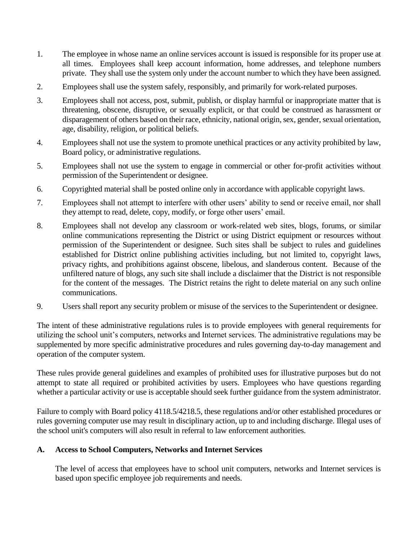- 1. The employee in whose name an online services account is issued is responsible for its proper use at all times. Employees shall keep account information, home addresses, and telephone numbers private. They shall use the system only under the account number to which they have been assigned.
- 2. Employees shall use the system safely, responsibly, and primarily for work-related purposes.
- 3. Employees shall not access, post, submit, publish, or display harmful or inappropriate matter that is threatening, obscene, disruptive, or sexually explicit, or that could be construed as harassment or disparagement of others based on their race, ethnicity, national origin, sex, gender, sexual orientation, age, disability, religion, or political beliefs.
- 4. Employees shall not use the system to promote unethical practices or any activity prohibited by law, Board policy, or administrative regulations.
- 5. Employees shall not use the system to engage in commercial or other for-profit activities without permission of the Superintendent or designee.
- 6. Copyrighted material shall be posted online only in accordance with applicable copyright laws.
- 7. Employees shall not attempt to interfere with other users' ability to send or receive email, nor shall they attempt to read, delete, copy, modify, or forge other users' email.
- 8. Employees shall not develop any classroom or work-related web sites, blogs, forums, or similar online communications representing the District or using District equipment or resources without permission of the Superintendent or designee. Such sites shall be subject to rules and guidelines established for District online publishing activities including, but not limited to, copyright laws, privacy rights, and prohibitions against obscene, libelous, and slanderous content. Because of the unfiltered nature of blogs, any such site shall include a disclaimer that the District is not responsible for the content of the messages. The District retains the right to delete material on any such online communications.
- 9. Users shall report any security problem or misuse of the services to the Superintendent or designee.

The intent of these administrative regulations rules is to provide employees with general requirements for utilizing the school unit's computers, networks and Internet services. The administrative regulations may be supplemented by more specific administrative procedures and rules governing day-to-day management and operation of the computer system.

These rules provide general guidelines and examples of prohibited uses for illustrative purposes but do not attempt to state all required or prohibited activities by users. Employees who have questions regarding whether a particular activity or use is acceptable should seek further guidance from the system administrator.

Failure to comply with Board policy 4118.5/4218.5, these regulations and/or other established procedures or rules governing computer use may result in disciplinary action, up to and including discharge. Illegal uses of the school unit's computers will also result in referral to law enforcement authorities.

# **A. Access to School Computers, Networks and Internet Services**

The level of access that employees have to school unit computers, networks and Internet services is based upon specific employee job requirements and needs.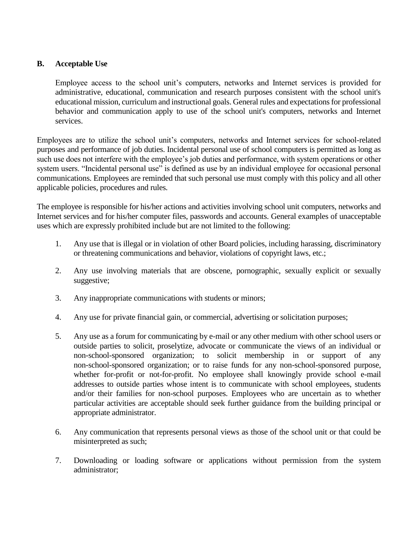# **B. Acceptable Use**

Employee access to the school unit's computers, networks and Internet services is provided for administrative, educational, communication and research purposes consistent with the school unit's educational mission, curriculum and instructional goals. General rules and expectations for professional behavior and communication apply to use of the school unit's computers, networks and Internet services.

Employees are to utilize the school unit's computers, networks and Internet services for school-related purposes and performance of job duties. Incidental personal use of school computers is permitted as long as such use does not interfere with the employee's job duties and performance, with system operations or other system users. "Incidental personal use" is defined as use by an individual employee for occasional personal communications. Employees are reminded that such personal use must comply with this policy and all other applicable policies, procedures and rules.

The employee is responsible for his/her actions and activities involving school unit computers, networks and Internet services and for his/her computer files, passwords and accounts. General examples of unacceptable uses which are expressly prohibited include but are not limited to the following:

- 1. Any use that is illegal or in violation of other Board policies, including harassing, discriminatory or threatening communications and behavior, violations of copyright laws, etc.;
- 2. Any use involving materials that are obscene, pornographic, sexually explicit or sexually suggestive;
- 3. Any inappropriate communications with students or minors;
- 4. Any use for private financial gain, or commercial, advertising or solicitation purposes;
- 5. Any use as a forum for communicating by e-mail or any other medium with other school users or outside parties to solicit, proselytize, advocate or communicate the views of an individual or non-school-sponsored organization; to solicit membership in or support of any non-school-sponsored organization; or to raise funds for any non-school-sponsored purpose, whether for-profit or not-for-profit. No employee shall knowingly provide school e-mail addresses to outside parties whose intent is to communicate with school employees, students and/or their families for non-school purposes. Employees who are uncertain as to whether particular activities are acceptable should seek further guidance from the building principal or appropriate administrator.
- 6. Any communication that represents personal views as those of the school unit or that could be misinterpreted as such;
- 7. Downloading or loading software or applications without permission from the system administrator;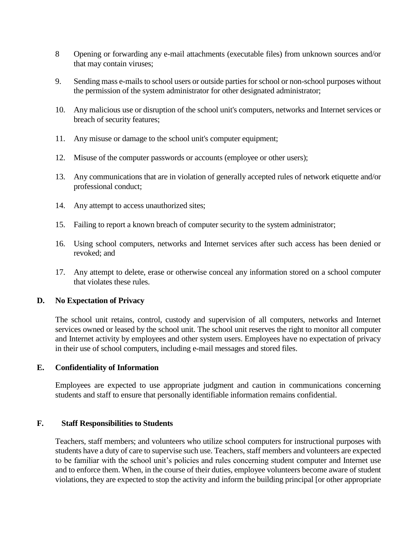- 8 Opening or forwarding any e-mail attachments (executable files) from unknown sources and/or that may contain viruses;
- 9. Sending mass e-mails to school users or outside parties for school or non-school purposes without the permission of the system administrator for other designated administrator;
- 10. Any malicious use or disruption of the school unit's computers, networks and Internet services or breach of security features;
- 11. Any misuse or damage to the school unit's computer equipment;
- 12. Misuse of the computer passwords or accounts (employee or other users);
- 13. Any communications that are in violation of generally accepted rules of network etiquette and/or professional conduct;
- 14. Any attempt to access unauthorized sites;
- 15. Failing to report a known breach of computer security to the system administrator;
- 16. Using school computers, networks and Internet services after such access has been denied or revoked; and
- 17. Any attempt to delete, erase or otherwise conceal any information stored on a school computer that violates these rules.

# **D. No Expectation of Privacy**

The school unit retains, control, custody and supervision of all computers, networks and Internet services owned or leased by the school unit. The school unit reserves the right to monitor all computer and Internet activity by employees and other system users. Employees have no expectation of privacy in their use of school computers, including e-mail messages and stored files.

# **E. Confidentiality of Information**

Employees are expected to use appropriate judgment and caution in communications concerning students and staff to ensure that personally identifiable information remains confidential.

#### **F. Staff Responsibilities to Students**

Teachers, staff members; and volunteers who utilize school computers for instructional purposes with students have a duty of care to supervise such use. Teachers, staff members and volunteers are expected to be familiar with the school unit's policies and rules concerning student computer and Internet use and to enforce them. When, in the course of their duties, employee volunteers become aware of student violations, they are expected to stop the activity and inform the building principal [or other appropriate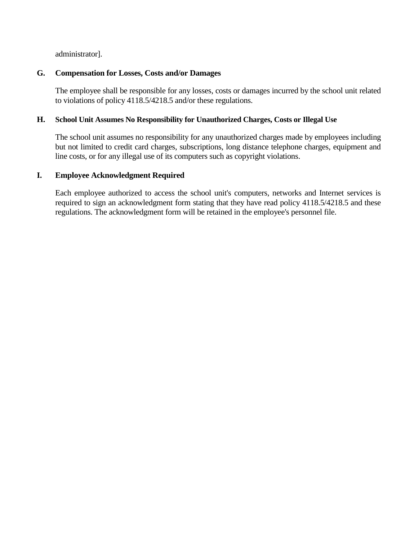administrator].

## **G. Compensation for Losses, Costs and/or Damages**

The employee shall be responsible for any losses, costs or damages incurred by the school unit related to violations of policy 4118.5/4218.5 and/or these regulations.

### **H. School Unit Assumes No Responsibility for Unauthorized Charges, Costs or Illegal Use**

The school unit assumes no responsibility for any unauthorized charges made by employees including but not limited to credit card charges, subscriptions, long distance telephone charges, equipment and line costs, or for any illegal use of its computers such as copyright violations.

#### **I. Employee Acknowledgment Required**

Each employee authorized to access the school unit's computers, networks and Internet services is required to sign an acknowledgment form stating that they have read policy 4118.5/4218.5 and these regulations. The acknowledgment form will be retained in the employee's personnel file.